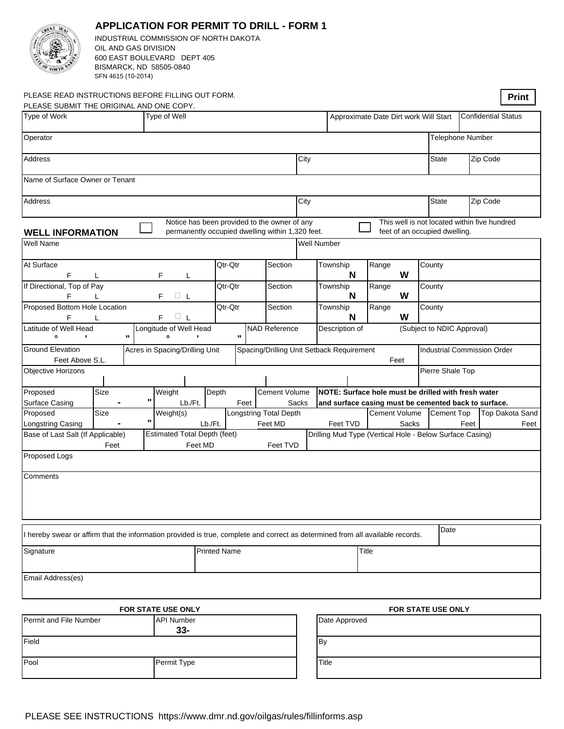|                                                                                                                                |                                                        |              | <b>APPLICATION FOR PERMIT TO DRILL - FORM 1</b>  |         |                        |                      |      |                                                                                                                      |                   |       |                      |  |                                              |                   |          |                 |  |
|--------------------------------------------------------------------------------------------------------------------------------|--------------------------------------------------------|--------------|--------------------------------------------------|---------|------------------------|----------------------|------|----------------------------------------------------------------------------------------------------------------------|-------------------|-------|----------------------|--|----------------------------------------------|-------------------|----------|-----------------|--|
|                                                                                                                                |                                                        |              | INDUSTRIAL COMMISSION OF NORTH DAKOTA            |         |                        |                      |      |                                                                                                                      |                   |       |                      |  |                                              |                   |          |                 |  |
| OIL AND GAS DIVISION                                                                                                           |                                                        |              |                                                  |         |                        |                      |      |                                                                                                                      |                   |       |                      |  |                                              |                   |          |                 |  |
|                                                                                                                                | 600 EAST BOULEVARD DEPT 405<br>BISMARCK, ND 58505-0840 |              |                                                  |         |                        |                      |      |                                                                                                                      |                   |       |                      |  |                                              |                   |          |                 |  |
|                                                                                                                                | SFN 4615 (10-2014)                                     |              |                                                  |         |                        |                      |      |                                                                                                                      |                   |       |                      |  |                                              |                   |          |                 |  |
|                                                                                                                                |                                                        |              |                                                  |         |                        |                      |      |                                                                                                                      |                   |       |                      |  |                                              |                   |          |                 |  |
| PLEASE READ INSTRUCTIONS BEFORE FILLING OUT FORM.                                                                              |                                                        |              |                                                  |         |                        |                      |      |                                                                                                                      |                   |       |                      |  |                                              |                   |          | <b>Print</b>    |  |
| PLEASE SUBMIT THE ORIGINAL AND ONE COPY.                                                                                       |                                                        |              |                                                  |         |                        |                      |      |                                                                                                                      |                   |       |                      |  |                                              |                   |          |                 |  |
| Type of Work<br>Type of Well<br>$ \mathbf{3A}\mathbf{EB} $ ER <sup>3</sup><br>$\blacktriangledown$<br><b>Recompletion</b>      |                                                        |              |                                                  |         |                        |                      |      | Approximate Date Dirt work Will Start<br><b>Confidential Status</b><br>$\blacktriangledown$                          |                   |       |                      |  |                                              |                   |          |                 |  |
| Operator                                                                                                                       |                                                        |              |                                                  |         |                        |                      |      |                                                                                                                      |                   |       |                      |  | Telephone Number                             |                   |          |                 |  |
|                                                                                                                                |                                                        |              |                                                  |         |                        |                      |      |                                                                                                                      |                   |       |                      |  |                                              |                   |          |                 |  |
| Address                                                                                                                        |                                                        |              |                                                  |         |                        |                      | City |                                                                                                                      |                   |       |                      |  | <b>State</b>                                 |                   | Zip Code |                 |  |
|                                                                                                                                |                                                        |              |                                                  |         |                        |                      |      |                                                                                                                      |                   |       |                      |  |                                              |                   |          |                 |  |
| Name of Surface Owner or Tenant                                                                                                |                                                        |              |                                                  |         |                        |                      |      |                                                                                                                      |                   |       |                      |  |                                              |                   |          |                 |  |
|                                                                                                                                |                                                        |              |                                                  |         |                        |                      |      |                                                                                                                      |                   |       |                      |  |                                              |                   |          |                 |  |
| <b>Address</b>                                                                                                                 |                                                        |              |                                                  |         |                        |                      | City |                                                                                                                      |                   |       |                      |  | <b>State</b>                                 | Zip Code          |          |                 |  |
|                                                                                                                                |                                                        |              | Notice has been provided to the owner of any     |         |                        |                      |      |                                                                                                                      |                   |       |                      |  | This well is not located within five hundred |                   |          |                 |  |
| <b>WELL INFORMATION</b>                                                                                                        |                                                        |              | permanently occupied dwelling within 1,320 feet. |         |                        |                      |      |                                                                                                                      |                   |       |                      |  | feet of an occupied dwelling.                |                   |          |                 |  |
| Well Name                                                                                                                      |                                                        |              |                                                  |         |                        |                      |      | Well Number                                                                                                          |                   |       |                      |  |                                              |                   |          |                 |  |
|                                                                                                                                |                                                        |              |                                                  |         |                        |                      |      |                                                                                                                      |                   |       |                      |  |                                              |                   |          |                 |  |
| At Surface                                                                                                                     |                                                        |              |                                                  |         | Qtr-Qtr                | Section              |      |                                                                                                                      | Township          | Range |                      |  | County                                       |                   |          |                 |  |
| F<br>L                                                                                                                         |                                                        |              | F<br>L                                           |         |                        |                      |      |                                                                                                                      | N                 | W     |                      |  |                                              |                   |          |                 |  |
| If Directional, Top of Pay                                                                                                     |                                                        |              | $\Box \ \mathsf{L}$                              |         | Qtr-Qtr                | Section              |      |                                                                                                                      | Township<br>N     | Range | W                    |  | County                                       |                   |          |                 |  |
| F<br>F<br>Proposed Bottom Hole Location                                                                                        |                                                        |              |                                                  |         | Qtr-Qtr                | Section              |      | Township                                                                                                             |                   | Range |                      |  | County                                       |                   |          |                 |  |
| $\square$<br>F<br>F                                                                                                            |                                                        |              |                                                  |         |                        |                      |      |                                                                                                                      | N                 |       | W                    |  |                                              |                   |          |                 |  |
| Latitude of Well Head                                                                                                          |                                                        |              | Longitude of Well Head                           |         |                        | <b>NAD Reference</b> |      |                                                                                                                      | Description of    |       |                      |  | (Subject to NDIC Approval)                   |                   |          |                 |  |
| $\bullet$                                                                                                                      |                                                        | $\mathbf{H}$ | $\bullet$                                        |         | Π.                     |                      |      |                                                                                                                      |                   |       |                      |  |                                              |                   |          |                 |  |
| <b>Ground Elevation</b><br>Acres in Spacing/Drilling Unit<br>Spacing/Drilling Unit Setback Requirement                         |                                                        |              |                                                  |         |                        |                      |      |                                                                                                                      |                   |       |                      |  | <b>Industrial Commission Order</b>           |                   |          |                 |  |
| Feet Above S.L.                                                                                                                |                                                        |              |                                                  |         |                        |                      |      |                                                                                                                      |                   |       | Feet                 |  |                                              |                   |          |                 |  |
| <b>Objective Horizons</b>                                                                                                      |                                                        |              |                                                  |         |                        |                      |      |                                                                                                                      |                   |       |                      |  | Pierre Shale Top                             |                   |          |                 |  |
| Proposed                                                                                                                       | Size                                                   |              | Weight                                           | Depth   |                        | <b>Cement Volume</b> |      |                                                                                                                      |                   |       |                      |  |                                              |                   |          |                 |  |
| <b>Surface Casing</b>                                                                                                          |                                                        |              | Lb./Ft.                                          |         | Feet                   |                      |      | NOTE: Surface hole must be drilled with fresh water<br>Sacks<br>and surface casing must be cemented back to surface. |                   |       |                      |  |                                              |                   |          |                 |  |
| Proposed                                                                                                                       | Size                                                   |              | Weight(s)                                        |         | Longstring Total Depth |                      |      |                                                                                                                      |                   |       | <b>Cement Volume</b> |  |                                              | <b>Cement Top</b> |          | Top Dakota Sand |  |
| Longstring Casing                                                                                                              | П.                                                     |              | Lb./Ft.<br>Feet MD                               |         |                        |                      |      |                                                                                                                      | Feet TVD<br>Sacks |       |                      |  | Feet                                         |                   |          | Feet            |  |
| Base of Last Salt (If Applicable)                                                                                              |                                                        |              | <b>Estimated Total Depth (feet)</b>              |         |                        |                      |      | Drilling Mud Type (Vertical Hole - Below Surface Casing)                                                             |                   |       |                      |  |                                              |                   |          |                 |  |
| Feet                                                                                                                           |                                                        |              |                                                  | Feet MD |                        | Feet TVD             |      |                                                                                                                      |                   |       |                      |  |                                              |                   |          |                 |  |
| Proposed Logs                                                                                                                  |                                                        |              |                                                  |         |                        |                      |      |                                                                                                                      |                   |       |                      |  |                                              |                   |          |                 |  |
|                                                                                                                                |                                                        |              |                                                  |         |                        |                      |      |                                                                                                                      |                   |       |                      |  |                                              |                   |          |                 |  |
| Comments                                                                                                                       |                                                        |              |                                                  |         |                        |                      |      |                                                                                                                      |                   |       |                      |  |                                              |                   |          |                 |  |
|                                                                                                                                |                                                        |              |                                                  |         |                        |                      |      |                                                                                                                      |                   |       |                      |  |                                              |                   |          |                 |  |
|                                                                                                                                |                                                        |              |                                                  |         |                        |                      |      |                                                                                                                      |                   |       |                      |  |                                              |                   |          |                 |  |
|                                                                                                                                |                                                        |              |                                                  |         |                        |                      |      |                                                                                                                      |                   |       |                      |  |                                              |                   |          |                 |  |
| I hereby swear or affirm that the information provided is true, complete and correct as determined from all available records. |                                                        |              |                                                  |         |                        |                      |      |                                                                                                                      |                   |       |                      |  | Date                                         |                   |          |                 |  |
|                                                                                                                                |                                                        |              |                                                  |         |                        |                      |      |                                                                                                                      |                   |       |                      |  |                                              |                   |          |                 |  |
| Signature<br><b>Printed Name</b>                                                                                               |                                                        |              |                                                  |         |                        |                      |      |                                                                                                                      |                   | Title |                      |  |                                              |                   |          |                 |  |
|                                                                                                                                |                                                        |              |                                                  |         |                        |                      |      |                                                                                                                      |                   |       |                      |  |                                              |                   |          |                 |  |
| Email Address(es)                                                                                                              |                                                        |              |                                                  |         |                        |                      |      |                                                                                                                      |                   |       |                      |  |                                              |                   |          |                 |  |
|                                                                                                                                |                                                        |              |                                                  |         |                        |                      |      |                                                                                                                      |                   |       |                      |  |                                              |                   |          |                 |  |
|                                                                                                                                |                                                        |              |                                                  |         |                        |                      |      |                                                                                                                      |                   |       |                      |  |                                              |                   |          |                 |  |
| FOR STATE USE ONLY                                                                                                             |                                                        |              |                                                  |         |                        |                      |      | FOR STATE USE ONLY                                                                                                   |                   |       |                      |  |                                              |                   |          |                 |  |
| Permit and File Number                                                                                                         |                                                        |              | <b>API Number</b><br>$33 -$                      |         |                        |                      |      | Date Approved                                                                                                        |                   |       |                      |  |                                              |                   |          |                 |  |
| Field                                                                                                                          |                                                        |              |                                                  |         |                        |                      |      | <b>By</b>                                                                                                            |                   |       |                      |  |                                              |                   |          |                 |  |
|                                                                                                                                |                                                        |              |                                                  |         |                        |                      |      |                                                                                                                      |                   |       |                      |  |                                              |                   |          |                 |  |
| Pool                                                                                                                           |                                                        |              | Permit Type                                      |         | Title                  |                      |      |                                                                                                                      |                   |       |                      |  |                                              |                   |          |                 |  |

## PLEASE SEE INSTRUCTIONS https://www.dmr.nd.gov/oilgas/rules/fillinforms.asp